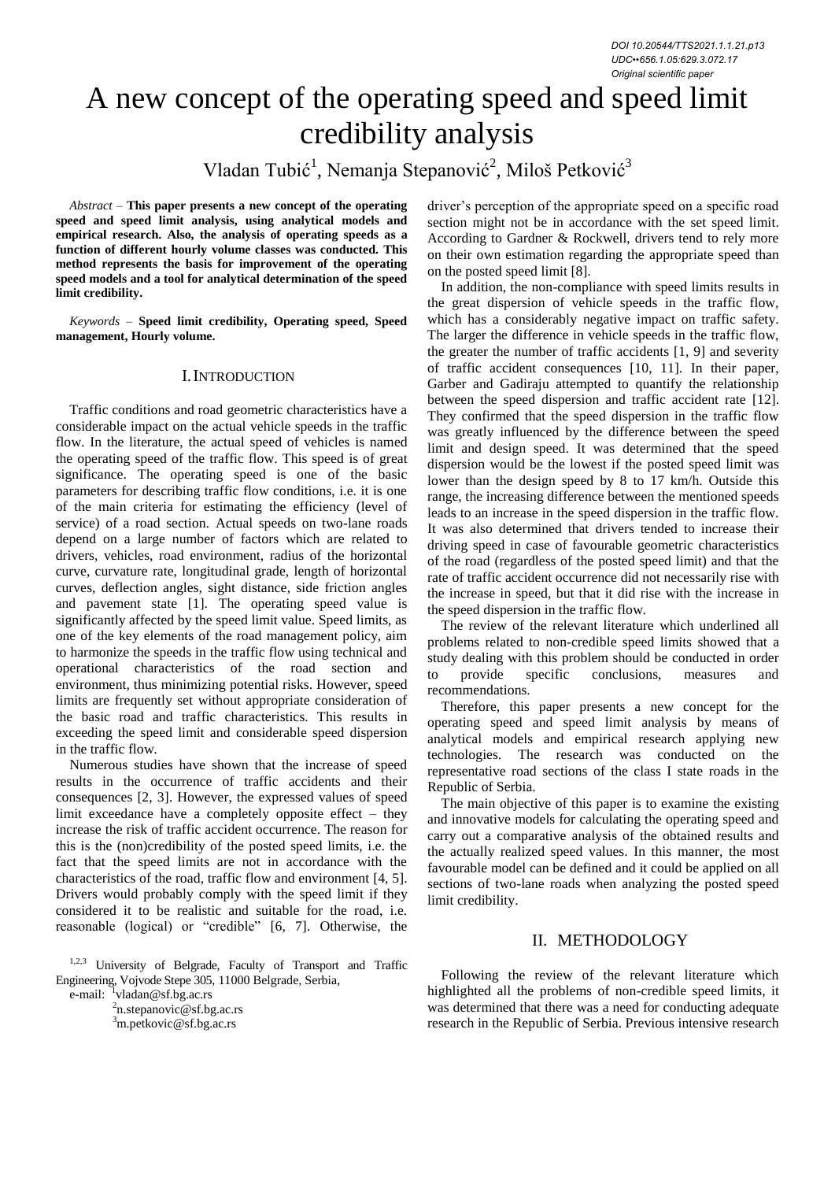# A new concept of the operating speed and speed limit credibility analysis

Vladan Tubić<sup>1</sup>, Nemanja Stepanović<sup>2</sup>, Miloš Petković<sup>3</sup>

*Abstract –* **This paper presents a new concept of the operating speed and speed limit analysis, using analytical models and empirical research. Also, the analysis of operating speeds as a function of different hourly volume classes was conducted. This method represents the basis for improvement of the operating speed models and a tool for analytical determination of the speed limit credibility.** 

*Keywords –* **Speed limit credibility, Operating speed, Speed management, Hourly volume.**

#### I.INTRODUCTION

Traffic conditions and road geometric characteristics have a considerable impact on the actual vehicle speeds in the traffic flow. In the literature, the actual speed of vehicles is named the operating speed of the traffic flow. This speed is of great significance. The operating speed is one of the basic parameters for describing traffic flow conditions, i.e. it is one of the main criteria for estimating the efficiency (level of service) of a road section. Actual speeds on two-lane roads depend on a large number of factors which are related to drivers, vehicles, road environment, radius of the horizontal curve, curvature rate, longitudinal grade, length of horizontal curves, deflection angles, sight distance, side friction angles and pavement state [1]. The operating speed value is significantly affected by the speed limit value. Speed limits, as one of the key elements of the road management policy, aim to harmonize the speeds in the traffic flow using technical and operational characteristics of the road section and environment, thus minimizing potential risks. However, speed limits are frequently set without appropriate consideration of the basic road and traffic characteristics. This results in exceeding the speed limit and considerable speed dispersion in the traffic flow.

Numerous studies have shown that the increase of speed results in the occurrence of traffic accidents and their consequences [2, 3]. However, the expressed values of speed limit exceedance have a completely opposite effect – they increase the risk of traffic accident occurrence. The reason for this is the (non)credibility of the posted speed limits, i.e. the fact that the speed limits are not in accordance with the characteristics of the road, traffic flow and environment [4, 5]. Drivers would probably comply with the speed limit if they considered it to be realistic and suitable for the road, i.e. reasonable (logical) or "credible" [6, 7]. Otherwise, the

1,2,3 University of Belgrade, Faculty of Transport and Traffic Engineering, Vojvode Stepe 305, 11000 Belgrade, Serbia,

e-mail:  $\frac{1}{1}$ vladan@sf.bg.ac.rs

<sup>2</sup>n.stepanovic@sf.bg.ac.rs

<sup>3</sup>m.petkovic@sf.bg.ac.rs

driver's perception of the appropriate speed on a specific road section might not be in accordance with the set speed limit. According to Gardner & Rockwell, drivers tend to rely more on their own estimation regarding the appropriate speed than on the posted speed limit [8].

In addition, the non-compliance with speed limits results in the great dispersion of vehicle speeds in the traffic flow, which has a considerably negative impact on traffic safety. The larger the difference in vehicle speeds in the traffic flow, the greater the number of traffic accidents [1, 9] and severity of traffic accident consequences [10, 11]. In their paper, Garber and Gadiraju attempted to quantify the relationship between the speed dispersion and traffic accident rate [12]. They confirmed that the speed dispersion in the traffic flow was greatly influenced by the difference between the speed limit and design speed. It was determined that the speed dispersion would be the lowest if the posted speed limit was lower than the design speed by 8 to 17 km/h. Outside this range, the increasing difference between the mentioned speeds leads to an increase in the speed dispersion in the traffic flow. It was also determined that drivers tended to increase their driving speed in case of favourable geometric characteristics of the road (regardless of the posted speed limit) and that the rate of traffic accident occurrence did not necessarily rise with the increase in speed, but that it did rise with the increase in the speed dispersion in the traffic flow.

The review of the relevant literature which underlined all problems related to non-credible speed limits showed that a study dealing with this problem should be conducted in order to provide specific conclusions, measures and recommendations.

Therefore, this paper presents a new concept for the operating speed and speed limit analysis by means of analytical models and empirical research applying new technologies. The research was conducted on the representative road sections of the class I state roads in the Republic of Serbia.

The main objective of this paper is to examine the existing and innovative models for calculating the operating speed and carry out a comparative analysis of the obtained results and the actually realized speed values. In this manner, the most favourable model can be defined and it could be applied on all sections of two-lane roads when analyzing the posted speed limit credibility.

## II. METHODOLOGY

Following the review of the relevant literature which highlighted all the problems of non-credible speed limits, it was determined that there was a need for conducting adequate research in the Republic of Serbia. Previous intensive research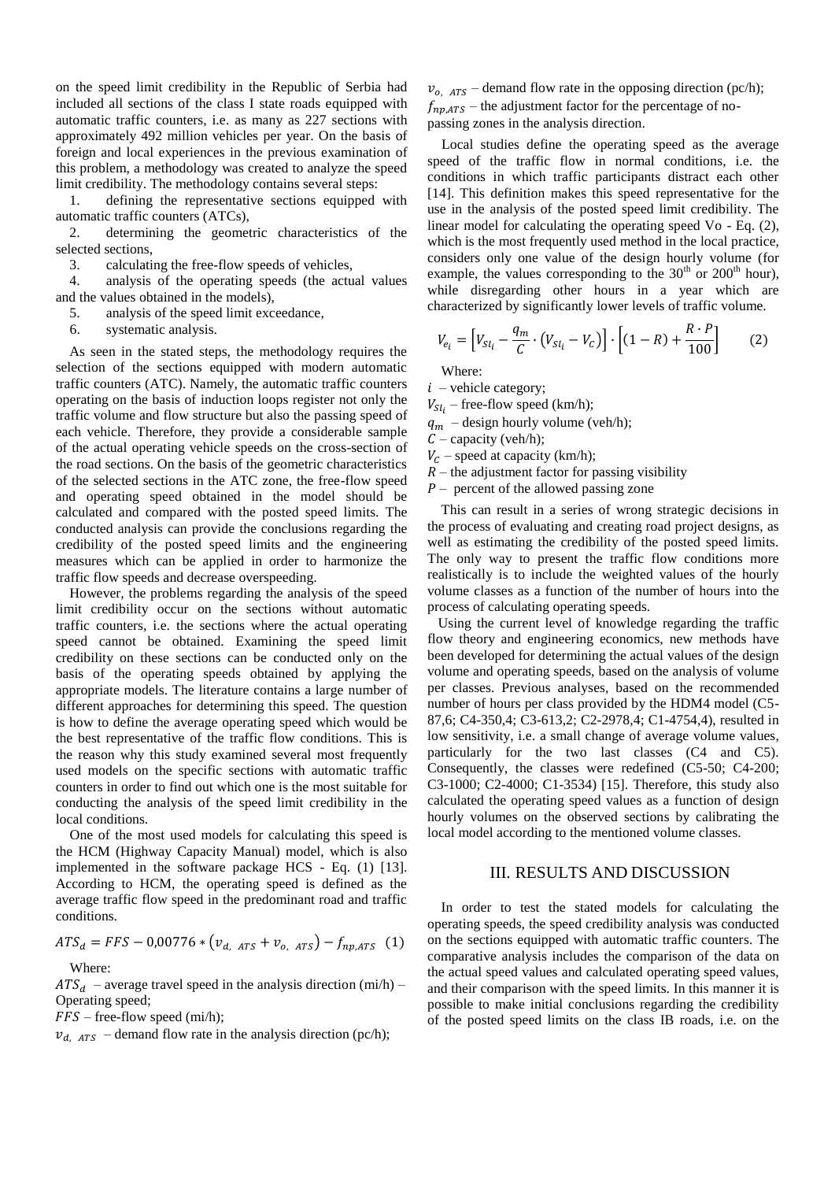on the speed limit credibility in the Republic of Serbia had included all sections of the class I state roads equipped with automatic traffic counters, i.e. as many as 227 sections with approximately 492 million vehicles per year. On the basis of foreign and local experiences in the previous examination of this problem, a methodology was created to analyze the speed limit credibility. The methodology contains several steps:

1. defining the representative sections equipped with automatic traffic counters (ATCs),

2. determining the geometric characteristics of the selected sections,

3. calculating the free-flow speeds of vehicles,

4. analysis of the operating speeds (the actual values and the values obtained in the models),

5. analysis of the speed limit exceedance,

6. systematic analysis.

As seen in the stated steps, the methodology requires the selection of the sections equipped with modern automatic traffic counters (ATC). Namely, the automatic traffic counters operating on the basis of induction loops register not only the traffic volume and flow structure but also the passing speed of each vehicle. Therefore, they provide a considerable sample of the actual operating vehicle speeds on the cross-section of the road sections. On the basis of the geometric characteristics of the selected sections in the ATC zone, the free-flow speed and operating speed obtained in the model should be calculated and compared with the posted speed limits. The conducted analysis can provide the conclusions regarding the credibility of the posted speed limits and the engineering measures which can be applied in order to harmonize the traffic flow speeds and decrease overspeeding.

However, the problems regarding the analysis of the speed limit credibility occur on the sections without automatic traffic counters, i.e. the sections where the actual operating speed cannot be obtained. Examining the speed limit credibility on these sections can be conducted only on the basis of the operating speeds obtained by applying the appropriate models. The literature contains a large number of different approaches for determining this speed. The question is how to define the average operating speed which would be the best representative of the traffic flow conditions. This is the reason why this study examined several most frequently used models on the specific sections with automatic traffic counters in order to find out which one is the most suitable for conducting the analysis of the speed limit credibility in the local conditions.

One of the most used models for calculating this speed is the HCM (Highway Capacity Manual) model, which is also implemented in the software package HCS - Eq. (1) [13]. According to HCM, the operating speed is defined as the average traffic flow speed in the predominant road and traffic conditions.

$$
ATS_d = FFS - 0.00776 * (v_{d,ATS} + v_{o,ATS}) - f_{np,ATS}
$$
 (1)  
Where:

 $ATS_d$  – average travel speed in the analysis direction (mi/h) – Operating speed;

 $FFS$  – free-flow speed (mi/h);

 $v_{d,ATS}$  – demand flow rate in the analysis direction (pc/h);

 $v_{0.75}$  – demand flow rate in the opposing direction (pc/h);  $f_{np,ATS}$  – the adjustment factor for the percentage of nopassing zones in the analysis direction.

Local studies define the operating speed as the average speed of the traffic flow in normal conditions, i.e. the conditions in which traffic participants distract each other [14]. This definition makes this speed representative for the use in the analysis of the posted speed limit credibility. The linear model for calculating the operating speed Vo - Eq. (2), which is the most frequently used method in the local practice, considers only one value of the design hourly volume (for example, the values corresponding to the  $30<sup>th</sup>$  or  $200<sup>th</sup>$  hour), while disregarding other hours in a year which are characterized by significantly lower levels of traffic volume.

$$
V_{e_i} = \left[ V_{Sl_i} - \frac{q_m}{C} \cdot \left( V_{Sl_i} - V_c \right) \right] \cdot \left[ (1 - R) + \frac{R \cdot P}{100} \right] \tag{2}
$$

Where:

 $i$  – vehicle category;

 $V_{Sli}$  – free-flow speed (km/h);

 $q_m$  – design hourly volume (veh/h);

 $C$  – capacity (veh/h);

 $V_c$  – speed at capacity (km/h);

 $R$  – the adjustment factor for passing visibility

 $P$  – percent of the allowed passing zone

This can result in a series of wrong strategic decisions in the process of evaluating and creating road project designs, as well as estimating the credibility of the posted speed limits. The only way to present the traffic flow conditions more realistically is to include the weighted values of the hourly volume classes as a function of the number of hours into the process of calculating operating speeds.

 Using the current level of knowledge regarding the traffic flow theory and engineering economics, new methods have been developed for determining the actual values of the design volume and operating speeds, based on the analysis of volume per classes. Previous analyses, based on the recommended number of hours per class provided by the HDM4 model (C5- 87,6; C4-350,4; C3-613,2; C2-2978,4; C1-4754,4), resulted in low sensitivity, i.e. a small change of average volume values, particularly for the two last classes (C4 and C5). Consequently, the classes were redefined (C5-50; C4-200; C3-1000; C2-4000; C1-3534) [15]. Therefore, this study also calculated the operating speed values as a function of design hourly volumes on the observed sections by calibrating the local model according to the mentioned volume classes.

#### III. RESULTS AND DISCUSSION

In order to test the stated models for calculating the operating speeds, the speed credibility analysis was conducted on the sections equipped with automatic traffic counters. The comparative analysis includes the comparison of the data on the actual speed values and calculated operating speed values, and their comparison with the speed limits. In this manner it is possible to make initial conclusions regarding the credibility of the posted speed limits on the class IB roads, i.e. on the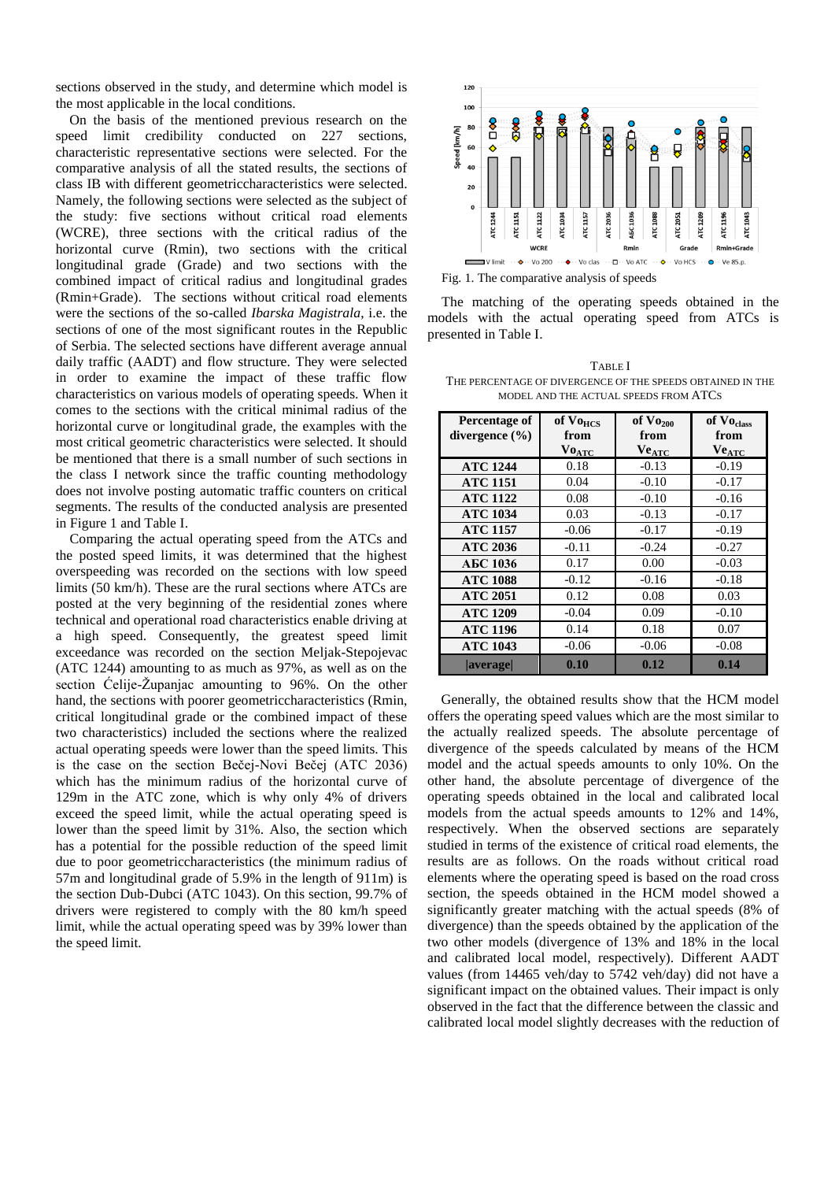sections observed in the study, and determine which model is the most applicable in the local conditions.

On the basis of the mentioned previous research on the speed limit credibility conducted on 227 sections, characteristic representative sections were selected. For the comparative analysis of all the stated results, the sections of class IB with different geometriccharacteristics were selected. Namely, the following sections were selected as the subject of the study: five sections without critical road elements (WCRE), three sections with the critical radius of the horizontal curve (Rmin), two sections with the critical longitudinal grade (Grade) and two sections with the combined impact of critical radius and longitudinal grades (Rmin+Grade). The sections without critical road elements were the sections of the so-called *Ibarska Magistrala*, i.e. the sections of one of the most significant routes in the Republic of Serbia. The selected sections have different average annual daily traffic (AADT) and flow structure. They were selected in order to examine the impact of these traffic flow characteristics on various models of operating speeds. When it comes to the sections with the critical minimal radius of the horizontal curve or longitudinal grade, the examples with the most critical geometric characteristics were selected. It should be mentioned that there is a small number of such sections in the class I network since the traffic counting methodology does not involve posting automatic traffic counters on critical segments. The results of the conducted analysis are presented in Figure 1 and Table I.

Comparing the actual operating speed from the ATCs and the posted speed limits, it was determined that the highest overspeeding was recorded on the sections with low speed limits (50 km/h). These are the rural sections where ATCs are posted at the very beginning of the residential zones where technical and operational road characteristics enable driving at a high speed. Consequently, the greatest speed limit exceedance was recorded on the section Meljak-Stepojevac (ATC 1244) amounting to as much as 97%, as well as on the section Ćelije-Županjac amounting to 96%. On the other hand, the sections with poorer geometriccharacteristics (Rmin, critical longitudinal grade or the combined impact of these two characteristics) included the sections where the realized actual operating speeds were lower than the speed limits. This is the case on the section Bečej-Novi Bečej (ATC 2036) which has the minimum radius of the horizontal curve of 129m in the ATC zone, which is why only 4% of drivers exceed the speed limit, while the actual operating speed is lower than the speed limit by 31%. Also, the section which has a potential for the possible reduction of the speed limit due to poor geometriccharacteristics (the minimum radius of 57m and longitudinal grade of 5.9% in the length of 911m) is the section Dub-Dubci (ATC 1043). On this section, 99.7% of drivers were registered to comply with the 80 km/h speed limit, while the actual operating speed was by 39% lower than the speed limit.



Fig. 1. The comparative analysis of speeds

The matching of the operating speeds obtained in the models with the actual operating speed from ATCs is presented in Table I.

TABLE I THE PERCENTAGE OF DIVERGENCE OF THE SPEEDS OBTAINED IN THE MODEL AND THE ACTUAL SPEEDS FROM ATCS

| Percentage of      | of Vo <sub>HCS</sub> | of $Vo_{200}$ | of Vo <sub>class</sub> |
|--------------------|----------------------|---------------|------------------------|
| divergence $(\% )$ | from                 | from          | from                   |
|                    | <b>VOATC</b>         | <b>VeATC</b>  | <b>Ve</b> ATC          |
| <b>ATC 1244</b>    | 0.18                 | $-0.13$       | $-0.19$                |
| <b>ATC 1151</b>    | 0.04                 | $-0.10$       | $-0.17$                |
| <b>ATC 1122</b>    | 0.08                 | $-0.10$       | $-0.16$                |
| <b>ATC 1034</b>    | 0.03                 | $-0.13$       | $-0.17$                |
| <b>ATC 1157</b>    | $-0.06$              | $-0.17$       | $-0.19$                |
| <b>ATC 2036</b>    | $-0.11$              | $-0.24$       | $-0.27$                |
| АБС 1036           | 0.17                 | 0.00          | $-0.03$                |
| <b>ATC 1088</b>    | $-0.12$              | $-0.16$       | $-0.18$                |
| <b>ATC 2051</b>    | 0.12                 | 0.08          | 0.03                   |
| <b>ATC 1209</b>    | $-0.04$              | 0.09          | $-0.10$                |
| <b>ATC 1196</b>    | 0.14                 | 0.18          | 0.07                   |
| <b>ATC 1043</b>    | $-0.06$              | $-0.06$       | $-0.08$                |
| <b>average</b>     | 0.10                 | 0.12          | 0.14                   |

Generally, the obtained results show that the HCM model offers the operating speed values which are the most similar to the actually realized speeds. The absolute percentage of divergence of the speeds calculated by means of the HCM model and the actual speeds amounts to only 10%. On the other hand, the absolute percentage of divergence of the operating speeds obtained in the local and calibrated local models from the actual speeds amounts to 12% and 14%, respectively. When the observed sections are separately studied in terms of the existence of critical road elements, the results are as follows. On the roads without critical road elements where the operating speed is based on the road cross section, the speeds obtained in the HCM model showed a significantly greater matching with the actual speeds (8% of divergence) than the speeds obtained by the application of the two other models (divergence of 13% and 18% in the local and calibrated local model, respectively). Different AADT values (from 14465 veh/day to 5742 veh/day) did not have a significant impact on the obtained values. Their impact is only observed in the fact that the difference between the classic and calibrated local model slightly decreases with the reduction of